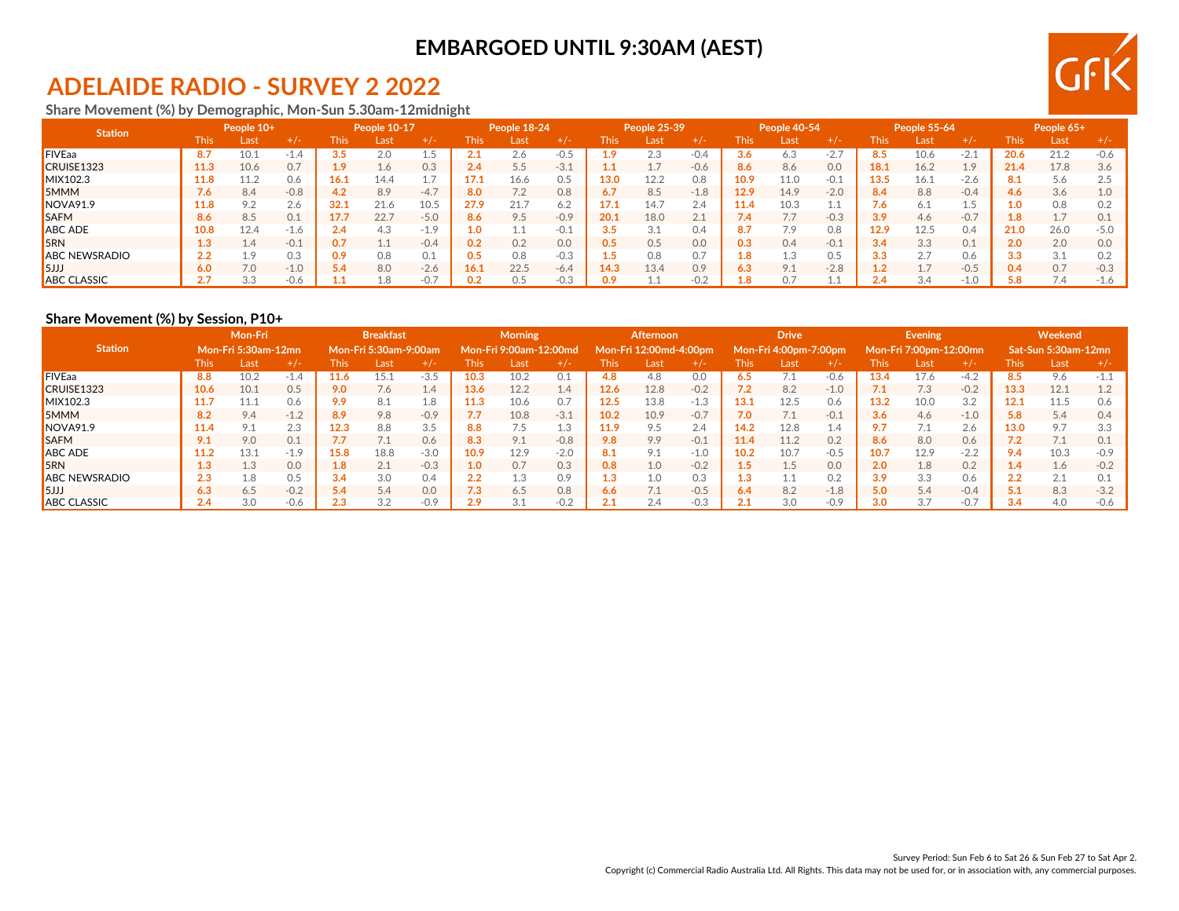## **ADELAIDE RADIO - SURVEY 2 2022**

**Share Movement (%) by Demographic, Mon-Sun 5.30am-12midnight**

| <b>Station</b>       |      | People 10+ |        |             | People 10-17 |        |                  | People 18-24 |        |      | People 25-39   |        |             | People 40-54 |        |      | <b>People 55-64</b> |        |      | People 65+ |        |
|----------------------|------|------------|--------|-------------|--------------|--------|------------------|--------------|--------|------|----------------|--------|-------------|--------------|--------|------|---------------------|--------|------|------------|--------|
|                      | This | Last       | $+/-$  | <b>This</b> | Last         |        | <b>This</b>      | Las          | +7-    | This | Last           | $+/-$  | <b>This</b> | Last         | $+/-$  | This | Last                |        | This | Last       |        |
| <b>FIVEaa</b>        | 8.7  | 10.1       | -1.4   | 3.5         | 2.0          |        |                  | 2.6          | $-0.5$ |      | 2.3            | $-0.4$ | 3.6         | 6.3          | $-2.7$ | 8.5  | 10.6                | $-2.1$ | 20.6 | 21.2       | $-0.6$ |
| CRUISE1323           | 11.3 | 10.6       | 0.7    | 1.9         | 1.6          | 0.3    | 2.4              | 5.5          | $-3.1$ |      | 17<br><b>.</b> | $-0.6$ | 8.6         | 8.6          | 0.0    | 18.1 | 16.2                | 1.9    | 21.4 | 17.8       | 3.6    |
| MIX102.3             | 11.8 | 11.2       | 0.6    | 16.1        | 14.4         |        | 17.1             | 16.6         | 0.5    | 13.0 | 12.2           | 0.8    | 10.9        | 11.0         | $-0.1$ | 13.5 | 16.1                | $-2.6$ |      | 5.6        |        |
| <b>SMMM</b>          | 7.6  | 8.4        | $-0.8$ | 4.2         | 8.9          | $-4.7$ | 8.0              | 7.2          | 0.8    |      | 8.5            | $-1.8$ | 12.9        | 14.9         | $-2.0$ | 8.4  | 8.8                 | $-0.4$ | 4.6  | 3.6        |        |
| NOVA91.9             | 11.8 | 9.2        | 2.6    | 32.1        | 21.6         | 10.5   | 27.9             | 21.          | 6.2    |      | 14.7           | 2.4    | 11.4        | 10.3         | ᆠᆞ     | 7.6  | 6.1                 | 1.5    | LO.  | 0.8        |        |
| <b>SAFM</b>          | 8.6  | 8.5        | 0.1    | 17.7        | 22.7         | $-5.0$ | 8.6              | 9.5          | $-0.9$ | 20.1 | 18.0           | 2.1    | 7.4         |              | $-0.3$ | 3.9  | 4.6                 | $-0.7$ | 8    | 1.7        |        |
| <b>ABC ADE</b>       | 10.8 | 12.4       | -1.6   | 2.4         | 4.3          | $-1.9$ | 1.0 <sub>1</sub> |              | $-0.1$ |      | 3.1            | 0.4    | 8.7         | 7.9          | 0.8    | 12.9 | 12.5                | 0.4    | 21.0 | 26.0       | $-5.0$ |
| 5RN                  | 1.3  | 1.4        | $-0.1$ | 0.7         |              | $-0.4$ |                  | 0.2          | 0.0    | 0.5  | 0.5            | 0.0    | 0.3         | 0.4          | $-0.1$ | 3.4  | 3.3                 | 0.1    | 2.0  | 2.0        | 0.0    |
| <b>ABC NEWSRADIO</b> | 2.2  | 1.9        | 0.3    | 0.9         | 0.8          | 0.1    |                  | 0.8          | $-0.3$ |      | 0.8            | 0.7    | 1.8         |              | 0.5    | 3.3  | 2.7                 | 0.6    | 3.3  | 3.1        |        |
| 5JJJ                 | 6.0  | 7.0        | $-1.0$ | 5.4         | 8.0          | $-2.6$ | 16.1             | 22.5         | $-6.4$ | .4.3 | 13.4           | 0.9    | 6.3         | 9.1          | $-2.8$ |      |                     | $-0.5$ |      | 0.7        | $-0.3$ |
| <b>ABC CLASSIC</b>   | 2.1  | 3.3        | -0.6   |             | .8           | $-0.$  |                  |              | $-0.3$ |      | ⊥.⊥            | $-0.2$ | 1.8         |              |        |      | 3.4                 | $-1.0$ | 5.8  | 7.4        |        |

#### **Share Movement (%) by Session, P10+**

|                      | Mon-Fri<br><b>Mon-Fri 5:30am-12mn</b> |      |        |             | <b>Breakfast</b>      |        |      | <b>Morning</b>         |        |      | Afternoon              |        |             | <b>Drive</b>          |        |      | Evening                |        |                  | Weekend                    |        |
|----------------------|---------------------------------------|------|--------|-------------|-----------------------|--------|------|------------------------|--------|------|------------------------|--------|-------------|-----------------------|--------|------|------------------------|--------|------------------|----------------------------|--------|
| <b>Station</b>       |                                       |      |        |             | Mon-Fri 5:30am-9:00am |        |      | Mon-Fri 9:00am-12:00md |        |      | Mon-Fri 12:00md-4:00pm |        |             | Mon-Fri 4:00pm-7:00pm |        |      | Mon-Fri 7:00pm-12:00mn |        |                  | <b>Sat-Sun 5:30am-12mn</b> |        |
|                      | This                                  | Last | $+/-$  | <b>This</b> | Last                  | $+/-$  | This | Last                   | $+1-$  | This | Last                   | $+/-$  | <b>This</b> | Last                  | $+/-$  | This | Last                   | $+/-$  | This.            | Last                       | $+/-$  |
| <b>FIVEaa</b>        | 8.8                                   | 10.2 | $-1.4$ | 11.6        | 15.1                  | $-3.5$ | 10.3 | 10.2                   | 0.1    | 4.8  | 4.8                    | 0.0    | 6.5         |                       | $-0.6$ | 13.4 | 17.6                   | $-4.2$ | 8.5              | 9.6                        | $-1.1$ |
| CRUISE1323           | 10.6                                  | 10.1 | 0.5    | 9.0         | 7.6                   | 1.4    | 13.6 | 12.2                   | 1.4    | 12.6 | 12.8                   | $-0.2$ | 7.2         | 8.2                   | $-1.0$ | 7.1  | 7.3                    | $-0.2$ | 13.3             | 12.1                       | 1.2    |
| MIX102.3             | 11.7                                  | 11.1 | 0.6    | 9.9         | 8.1                   | 1.8    | 11.3 | 10.6                   | 0.7    | 12.5 | 13.8                   | $-1.3$ | 13.1        | 12.5                  | 0.6    | 13.2 | 10.0                   | 3.2    | 12.1             | 11.5                       | 0.6    |
| <b>5MMM</b>          | 8.2                                   | 9.4  | $-1.2$ | 8.9         | 9.8                   | $-0.9$ | 7.7  | 10.8                   | $-3.1$ | 10.2 | 10.9                   | $-0.7$ | 7.0         |                       | $-0.1$ | 3.6  | 4.6                    | $-1.0$ | 5.8 <sub>1</sub> | 5.4                        | 0.4    |
| NOVA91.9             | 11.4                                  | 9.1  | 2.3    | 12.3        | 8.8                   | 3.5    | 8.8  |                        | 1.3    | 11.9 | 9.5                    | 2.4    | 14.2        | 12.8                  | 1.4    | 9.7  |                        | 2.6    | 13.0             | 9.7                        | 3.3    |
| <b>SAFM</b>          | 9.1                                   | 9.0  | 0.1    | 7.7         |                       | 0.6    | 8.3  | 9.1                    | $-0.8$ | 9.8  | 9.9                    | $-0.1$ | 11.4        | 11.2                  | 0.2    | 8.6  | 8.0                    | 0.6    | 7.2              | 7.1                        | 0.1    |
| <b>ABC ADE</b>       | 11.2                                  | 13.1 | $-1.9$ | 15.8        | 18.8                  | $-3.0$ | 10.9 | 12.9                   | $-2.0$ | 8.1  | 9.1                    | $-1.0$ | 10.2        | 10.7                  | $-0.5$ | 10.7 | 12.9                   | $-2.2$ | 9.4              | 10.3                       | $-0.9$ |
| 5RN                  | 1.3                                   | 1.3  | 0.0    | 1.8         | 2.1                   | $-0.3$ | 1.0  | 0.7                    | 0.3    | 0.8  | 1.0                    | $-0.2$ | 1.5         | 1.5                   | 0.0    | 2.0  | 1.8                    | 0.2    | 1.4              | 1.6                        | $-0.2$ |
| <b>ABC NEWSRADIO</b> | 2.3                                   | 1.8  | 0.5    | 3.4         | 3.0                   | 0.4    | 2.2  | 1.3                    | 0.9    | 1.3  | 1.0                    | 0.3    | 1.3         |                       | 0.2    | 3.9  | 3.3                    | 0.6    | 2.2              | 2.1                        | 0.1    |
| 5JJJ                 | 6.3                                   | 6.5  | $-0.2$ | 5.4         | 5.4                   | 0.0    | 7.3  | 6.5                    | 0.8    | 6.6  | 7.1                    | $-0.5$ | 6.4         | 8.2                   | $-1.8$ | 5.0  | 5.4                    | $-0.4$ | 5.1              | 8.3                        | $-3.2$ |
| <b>ABC CLASSIC</b>   | 2.4                                   | 3.0  | $-0.6$ | 2.3         | 3.2                   | $-0.9$ | 2.9  |                        | $-0.2$ |      | 2.4                    | $-0.3$ | $2$         | 3.0                   | $-0.9$ | 3.0  | 27                     | $-0.7$ | 3.4              | 4.0                        | $-0.6$ |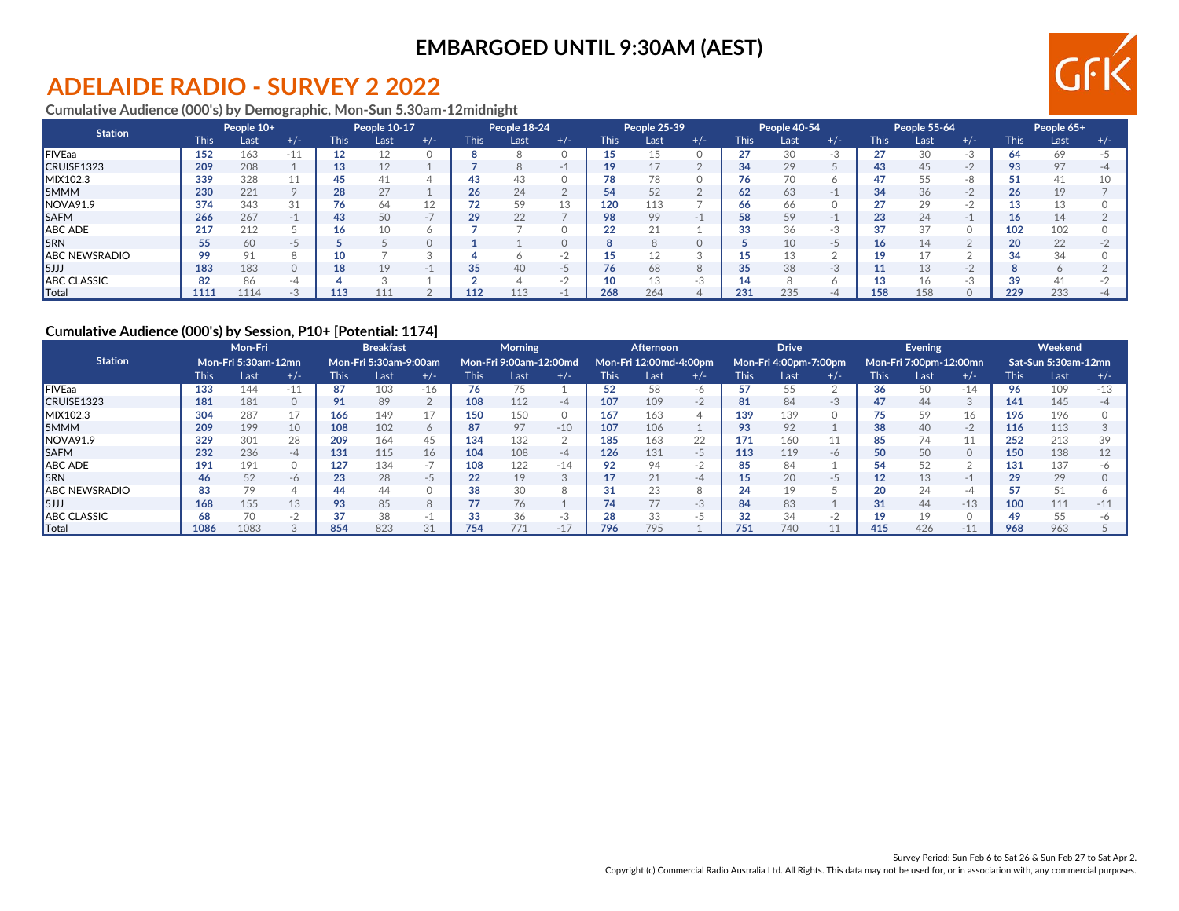## **ADELAIDE RADIO - SURVEY 2 2022**

#### **Cumulative Audience (000's) by Demographic, Mon-Sun 5.30am-12midnight**

| <b>Station</b>       |      | People 10+ |       |             | People 10-17 |                |             | People 18-24 |        |      | People 25-39 |       |             | People 40-54 |       |             | People 55-64 |       |             | People 65+ |           |
|----------------------|------|------------|-------|-------------|--------------|----------------|-------------|--------------|--------|------|--------------|-------|-------------|--------------|-------|-------------|--------------|-------|-------------|------------|-----------|
|                      | This | Last       | $+/-$ | <b>This</b> | Last         | $+/-$          | <b>This</b> | Last         | $+/-$  | This | Last         | $+/-$ | <b>This</b> | Last         | $+/-$ | <b>This</b> | Last         | $+/-$ | <b>This</b> | Last       | $+/-$     |
| <b>FIVEaa</b>        | 152  | 163        | $-11$ | 12          |              |                |             |              |        |      |              |       | 27          | 30           | -3    | 27          | 30           | -3    | 54          | 69         |           |
| CRUISE1323           | 209  | 208        |       | 13          | 12           |                |             |              |        |      | 17           |       | 34          | 29           |       | 43          | 45           | $-2$  | 93          | 97         | -4        |
| MIX102.3             | 339  | 328        | ıт    | 45          | 41           |                |             |              |        |      | 78           |       | 76          | 70           |       |             | 55           | -8    |             | 41         |           |
| 5MMM                 | 230  | 221        |       | 28          | 27           |                | 26          | 24           |        | 54   | 52           |       | 62          | 63           | $-1$  | 34          | 36           | $-2$  | 26          | 19         |           |
| NOVA91.9             | 374  | 343        | 31    | 76          | 64           | 1 <sup>c</sup> |             | 59           | 13     | 120  | 113          |       | 66          | 66           |       | <u>ົ</u>    | 29           | $-2$  |             | 13         |           |
| <b>SAFM</b>          | 266  | 267        |       | 43          | 50           | $\sim$ 14      | 29          | 22           |        | 98   | 99           |       | 58          | 59           | $-$   | 23          | 24           |       |             | 14         |           |
| <b>ABC ADE</b>       | 217  | 212        |       | 16          | 10           |                |             |              |        | 22   | 21           |       | 33          | 36           | -3    | 37          | 37           |       | 102         | 102        |           |
| 5RN                  | 55   | 60         | $-7$  |             |              |                |             |              |        |      | 8            |       |             | 10           | כ-    | 16          |              |       | 20          | 22         |           |
| <b>ABC NEWSRADIO</b> | QQ   | 91         |       | 10          |              |                |             |              |        |      | 12           |       | 15          | 13           |       | 10          |              |       | 34          | 34         |           |
| 5JJJ                 | 183  | 183        |       | 18          | 19           | $-$            |             | 40           | $-5$   |      | 68           |       | 35          | 38           | -3    |             |              | $-2$  |             |            |           |
| <b>ABC CLASSIC</b>   | 82   | 86         | -4    |             |              |                |             |              | $\sim$ |      | 13           | $-.5$ | 14          |              |       |             |              | -3    | 39          | 41         |           |
| Total                | 1111 | 1114       |       | 113         | 111          |                | 112         |              |        | 268  | 264          |       | 231         | 235          | -4    | 158         |              |       | 229         | 233        | $-\Delta$ |

#### **Cumulative Audience (000's) by Session, P10+ [Potential: 1174]**

|                      |             | Mon-Fri<br><b>Mon-Fri 5:30am-12mn</b> |         |             | <b>Breakfast</b>      |       |       | <b>Morning</b>         |               |      | Afternoon              |                |             | <b>Drive</b>          |       |             | Evening                |          |             | Weekend             |       |
|----------------------|-------------|---------------------------------------|---------|-------------|-----------------------|-------|-------|------------------------|---------------|------|------------------------|----------------|-------------|-----------------------|-------|-------------|------------------------|----------|-------------|---------------------|-------|
| <b>Station</b>       |             |                                       |         |             | Mon-Fri 5:30am-9:00am |       |       | Mon-Fri 9:00am-12:00md |               |      | Mon-Fri 12:00md-4:00pm |                |             | Mon-Fri 4:00pm-7:00pm |       |             | Mon-Fri 7:00pm-12:00mn |          |             | Sat-Sun 5:30am-12mn |       |
|                      | <b>This</b> | Last                                  | $+/-$   | <b>This</b> | Last                  | $+/-$ | This. | Last                   | $+/-$         | This | Last                   | $+/-$          | <b>This</b> | Last                  | $+/-$ | <b>This</b> | Last                   | $+/-$    | <b>This</b> | Last                | $+/-$ |
| <b>FIVEaa</b>        | 133         | 144                                   | $-11$   | 87          | 103                   | $-16$ | 76    |                        |               | 52   | 58                     | -6             | 57          | 55                    |       | 36          | 50                     | $-14$    | 96          | 109                 | $-13$ |
| CRUISE1323           | 181         | 181                                   | $\circ$ | 91          | 89                    |       | 108   | 112                    | -4            | 107  | 109                    | $\Omega$<br>-Z | 81          | 84                    | -3    | 47          | 44                     | 3        | 141         | 145                 | -4    |
| MIX102.3             | 304         | 287                                   | 17      | 166         | 149                   | 17    | 150   | 150                    | 0             | 167  | 163                    | $\Delta$       | 139         | 139                   |       | 75          | 59                     | 16       | 196         | 196                 |       |
| <b>5MMM</b>          | 209         | 199                                   | 10      | 108         | 102                   |       | 87    | 97                     | $-10$         | 107  | 106                    |                | 93          | 92                    |       | 38          | 40                     | $-2$     | 116         | 113                 |       |
| INOVA91.9            | 329         | 301                                   | 28      | 209         | 164                   | 45    | 134   | 132                    |               | 185  | 163                    | 22             | 171         | 160                   |       | 85          | 74                     | 11       | 252         | 213                 | 39    |
| <b>ISAFM</b>         | 232         | 236                                   | -4      | 131         | 115                   | 16    | 104   | 108                    | $-4$          | 126  | 131                    | $-5$           | 113         | 119                   | $-6$  | 50          | 50                     | $\Omega$ | 150         | 138                 | 12    |
| ABC ADE              | 191         | 191                                   |         | 127         | 134                   | $-1$  | 108   | 122                    | $-14$         |      | 94                     |                | 85          | 84                    |       | 54          |                        |          | 131         | 137                 | -6    |
| <b>SRN</b>           | 46          | 52                                    | -6      | 23          | 28                    | $-5$  | 22    | 19                     | 3             | 17   | 21                     | -4             | 15          | 20                    | $-7$  | 12          | 13                     | $-1$     | 29          | 29                  |       |
| <b>ABC NEWSRADIO</b> | 83          | 79                                    |         | 44          | 44                    |       | 38    |                        | $\Omega$<br>Õ |      | 23                     | 8              | 24          | 19                    |       | 20          | 24                     | -4       |             | 51                  |       |
| 5JJ                  | 168         | 155                                   | 13      | 93          | 85                    |       |       | 76                     |               | 74   | 77                     | $-3$           | 84          | 83                    |       | 31          | 44                     | $-13$    | 100         | 111                 | $-11$ |
| <b>ABC CLASSIC</b>   |             | 70                                    |         | 37          | 38                    |       |       | 36                     | $-3$          |      | 33                     |                | 32          | 34                    |       | 10          | 10                     |          |             | 55                  |       |
| <b>Total</b>         | 1086        | 1083                                  |         | 854         | 823                   | 31    | 754   | 77'                    | $-17$         | 796  | 795                    |                | 751         | 740                   |       | 415         | 426                    | $-11$    | 968         | 963                 |       |

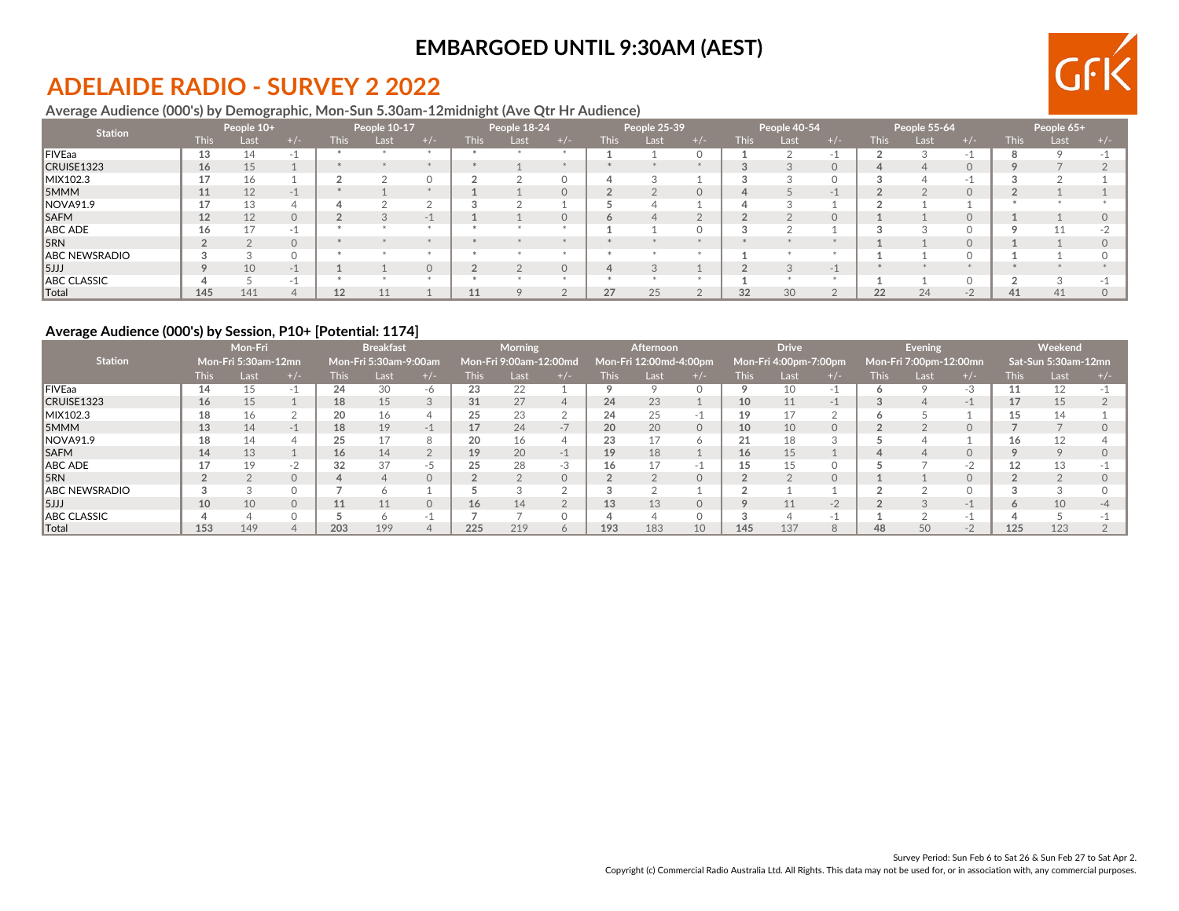# **ADELAIDE RADIO - SURVEY 2 2022**

#### **Average Audience (000's) by Demographic, Mon-Sun 5.30am-12midnight (Ave Qtr Hr Audience)**

| <b>Station</b> |             | People 10+ |          |             | People 10-17 |       |             | People 18-24 |        |        | People 25-39 |                  |             | People 40-54 |          |             | People 55-64     |      |             | People 65+ |  |
|----------------|-------------|------------|----------|-------------|--------------|-------|-------------|--------------|--------|--------|--------------|------------------|-------------|--------------|----------|-------------|------------------|------|-------------|------------|--|
|                | <b>This</b> | Last       |          | <b>This</b> | Last         | $+/-$ | <b>This</b> | Last         |        | This l | Last,        |                  | <b>This</b> | Last         | +/-      | <b>This</b> | Las <sup>.</sup> |      | <b>This</b> | Last       |  |
| FIVEaa         | 13          | 14         |          |             |              |       |             |              |        |        |              |                  |             |              |          |             |                  |      |             |            |  |
| CRUISE1323     | 16          | 15         |          |             |              |       |             |              |        |        |              |                  |             |              | $\Omega$ |             |                  |      |             |            |  |
| MIX102.3       |             | 16         |          |             |              |       |             |              |        |        |              |                  |             |              |          |             |                  |      |             |            |  |
| 5MMM           | 11          | 12         | -1       |             |              |       |             |              | 0      |        |              | $\left( \right)$ |             |              | $\sim$   |             |                  |      |             |            |  |
| NOVA91.9       |             | 13         |          |             |              |       |             |              |        |        |              |                  |             |              |          |             |                  |      |             |            |  |
| <b>SAFM</b>    | 12          | 12         | $\Omega$ |             |              | $-1$  |             |              | $\cap$ |        |              |                  |             |              | $\Omega$ |             |                  |      |             |            |  |
| ABC ADE        | ΊO          | 17         | -1       |             |              |       |             |              |        |        |              |                  |             |              |          |             |                  |      |             |            |  |
| 5RN            |             |            | $\Omega$ |             |              |       |             |              |        |        |              |                  |             |              |          |             |                  |      |             |            |  |
| ABC NEWSRADIO  |             |            | O        |             |              |       |             |              |        |        |              |                  |             |              |          |             |                  |      |             |            |  |
| 5JJJ           | $\circ$     | 10         | - 1      |             |              |       |             |              |        |        |              |                  |             |              | $-1$     |             |                  |      |             |            |  |
| ABC CLASSIC    |             |            |          |             |              |       |             |              |        |        |              |                  |             |              |          |             |                  |      |             |            |  |
| Total          | 145         | 141        |          | 12          |              |       |             |              |        | 27     | 25           |                  | 32          | 30           |          | 22          | 24               | $-2$ | 41          | 41         |  |

#### **Average Audience (000's) by Session, P10+ [Potential: 1174]**

|                    |             | Mon-Fri<br>Mon-Fri 5:30am-12mn |          |             | <b>Breakfast</b>      |          |                 | <b>Morning</b>         |              |       | <b>Afternoon</b>       |              |             | <b>Drive</b>          |      |             | Evening                |       |        | Weekend             |       |
|--------------------|-------------|--------------------------------|----------|-------------|-----------------------|----------|-----------------|------------------------|--------------|-------|------------------------|--------------|-------------|-----------------------|------|-------------|------------------------|-------|--------|---------------------|-------|
| <b>Station</b>     |             |                                |          |             | Mon-Fri 5:30am-9:00am |          |                 | Mon-Fri 9:00am-12:00md |              |       | Mon-Fri 12:00md-4:00pm |              |             | Mon-Fri 4:00pm-7:00pm |      |             | Mon-Fri 7:00pm-12:00mn |       |        | Sat-Sun 5:30am-12mn |       |
|                    | <b>This</b> | Last                           | $+/-$    | <b>This</b> | Last                  | $+/-$    | <b>This</b>     | Last                   | $+/-$        | This. | Last                   | $+/-$        | <b>This</b> | Last                  |      | <b>This</b> | Last                   | $+/-$ | This l | Last                | $+/-$ |
| <b>FIVEaa</b>      | 14          | 15                             |          | 24          | 30                    | -6       | 23              | 22                     |              |       |                        |              |             |                       | - I  |             |                        | $-3$  |        | 12                  |       |
| CRUISE1323         | 16          | 15                             |          | 18          | 15                    |          | 31              | 27                     |              | 24    | 23                     |              | 10          | 11                    | - i  |             |                        | $-1$  |        | 15                  |       |
| MIX102.3           | 18          | 16                             |          | 20          | 16                    |          |                 | 23                     |              | 24    | 25                     |              | 19          |                       |      |             |                        |       |        | 14                  |       |
| <b>5MMM</b>        | 13          | 14                             | $-1$     | 18          | 19                    | $-1$     |                 | 24                     | $-1$         | 20    | 20                     | $\Omega$     | 10          | 10                    |      |             |                        |       |        |                     |       |
| NOVA91.9           | 18          | 14                             |          | 25          |                       |          | 20              | 16                     |              | 23    | 17                     | <sup>n</sup> | 21          | 18                    |      |             |                        |       | 16     | 12                  |       |
| <b>SAFM</b>        | 14          | 13                             |          | 16          | 14                    |          | 19              | 20                     | -1           | 19    | 18                     |              | 16          | 15 <sup>1</sup>       |      |             |                        |       |        |                     |       |
| ABC ADE            |             | 19                             | $-$      | 32          | 37                    | $-5$     | 25              | 28                     | -3           | 16    | 17                     | $-1$         | 15          | 15                    |      |             |                        | $-2$  |        | 13                  |       |
| 5RN                |             |                                | $\Omega$ |             |                       |          |                 |                        |              |       |                        |              |             |                       |      |             |                        |       |        |                     |       |
| ABC NEWSRADIO      |             |                                |          |             |                       |          |                 |                        |              |       |                        |              |             |                       |      |             |                        |       |        |                     |       |
| 5JJJ               | 10          | 10                             | $\Omega$ | 11          | 11                    | $\Omega$ | 16 <sup>1</sup> | 14                     |              | 13    | 13                     | $\Omega$     | $\circ$     | 11                    | $-2$ |             |                        | . 1   | h      | 10                  |       |
| <b>ABC CLASSIC</b> |             |                                |          |             |                       | $-1$     |                 |                        |              |       |                        |              | ◠           |                       | - 1  |             |                        |       |        |                     |       |
| ∥Total             | 153         | 149                            |          | 203         | 199                   |          | 225             | 219                    | <sup>n</sup> | 193   | 183                    | 10           | 145         | 137                   |      | 48          | 50                     | $-2$  | 125    | 123                 |       |